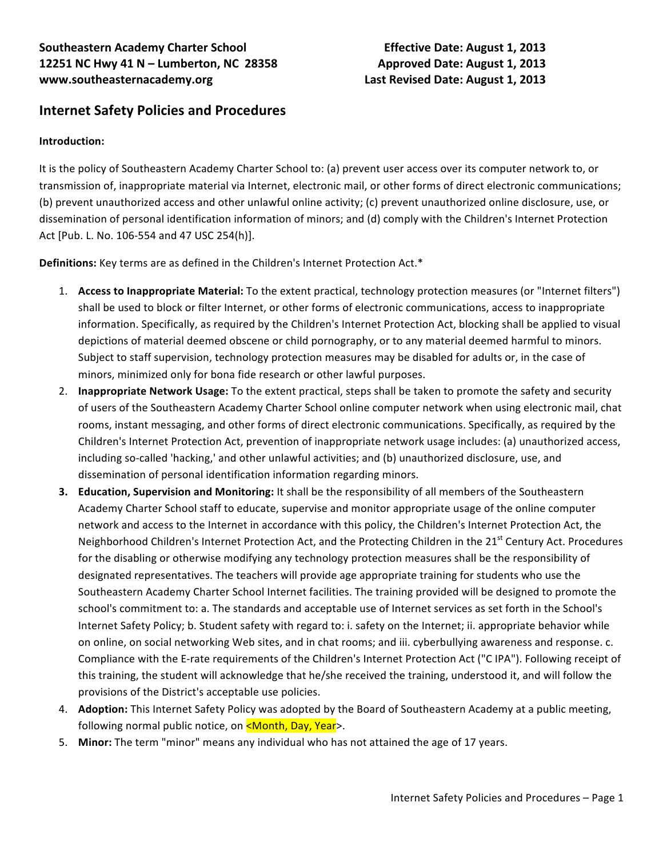# **Internet Safety Policies and Procedures**

### **Introduction:**

It is the policy of Southeastern Academy Charter School to: (a) prevent user access over its computer network to, or transmission of, inappropriate material via Internet, electronic mail, or other forms of direct electronic communications; (b) prevent unauthorized access and other unlawful online activity; (c) prevent unauthorized online disclosure, use, or dissemination of personal identification information of minors; and (d) comply with the Children's Internet Protection Act [Pub. L. No. 106-554 and 47 USC 254(h)].

**Definitions:** Key terms are as defined in the Children's Internet Protection Act.\*

- 1. **Access to Inappropriate Material:** To the extent practical, technology protection measures (or "Internet filters") shall be used to block or filter Internet, or other forms of electronic communications, access to inappropriate information. Specifically, as required by the Children's Internet Protection Act, blocking shall be applied to visual depictions of material deemed obscene or child pornography, or to any material deemed harmful to minors. Subject to staff supervision, technology protection measures may be disabled for adults or, in the case of minors, minimized only for bona fide research or other lawful purposes.
- 2. **Inappropriate Network Usage:** To the extent practical, steps shall be taken to promote the safety and security of users of the Southeastern Academy Charter School online computer network when using electronic mail, chat rooms, instant messaging, and other forms of direct electronic communications. Specifically, as required by the Children's Internet Protection Act, prevention of inappropriate network usage includes: (a) unauthorized access, including so-called 'hacking,' and other unlawful activities; and (b) unauthorized disclosure, use, and dissemination of personal identification information regarding minors.
- **3. Education, Supervision and Monitoring:** It shall be the responsibility of all members of the Southeastern Academy Charter School staff to educate, supervise and monitor appropriate usage of the online computer network and access to the Internet in accordance with this policy, the Children's Internet Protection Act, the Neighborhood Children's Internet Protection Act, and the Protecting Children in the 21<sup>st</sup> Century Act. Procedures for the disabling or otherwise modifying any technology protection measures shall be the responsibility of designated representatives. The teachers will provide age appropriate training for students who use the Southeastern Academy Charter School Internet facilities. The training provided will be designed to promote the school's commitment to: a. The standards and acceptable use of Internet services as set forth in the School's Internet Safety Policy; b. Student safety with regard to: i. safety on the Internet; ii. appropriate behavior while on online, on social networking Web sites, and in chat rooms; and iii. cyberbullying awareness and response. c. Compliance with the E-rate requirements of the Children's Internet Protection Act ("C IPA"). Following receipt of this training, the student will acknowledge that he/she received the training, understood it, and will follow the provisions of the District's acceptable use policies.
- 4. **Adoption:** This Internet Safety Policy was adopted by the Board of Southeastern Academy at a public meeting, following normal public notice, on <Month, Day, Year>.
- 5. Minor: The term "minor" means any individual who has not attained the age of 17 years.